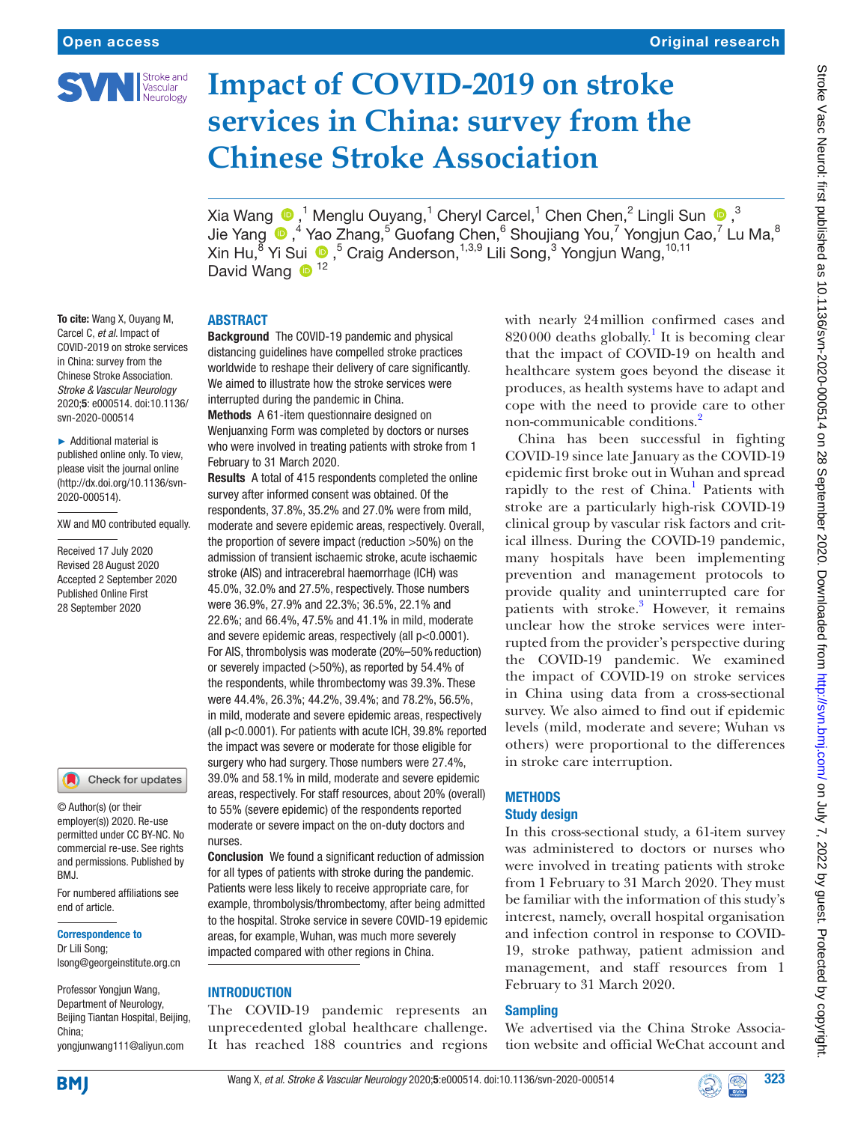

# **Impact of COVID-2019 on stroke services in China: survey from the Chinese Stroke Association**

XiaWang  $\bigcirc$  ,<sup>1</sup> Menglu Ouyang,<sup>1</sup> Cheryl Carcel,<sup>1</sup> Chen Chen,<sup>2</sup> Lingli Sun  $\bigcirc$  ,<sup>3</sup> JieYang  $\bigcirc$ ,<sup>4</sup> Yao Zhang,<sup>5</sup> Guofang Chen,<sup>6</sup> Shoujiang You,<sup>7</sup> Yongjun Cao,<sup>7</sup> Lu Ma,<sup>8</sup> Xin Hu,<sup>8</sup> Yi Sui,5 Craig Anderson,1,3,9 Lili Song,3 Yongjun Wang,10,11 David Wang <sup>12</sup>

# ABSTRACT

To cite: Wang X, Ouyang M, Carcel C, *et al*. Impact of COVID-2019 on stroke services in China: survey from the Chinese Stroke Association. *Stroke & Vascular Neurology* 2020;5: e000514. doi:10.1136/ svn-2020-000514

► Additional material is published online only. To view, please visit the journal online (http://dx.doi.org/10.1136/svn-2020-000514).

XW and MO contributed equally.

Received 17 July 2020 Revised 28 August 2020 Accepted 2 September 2020 Published Online First 28 September 2020

# Check for updates

© Author(s) (or their employer(s)) 2020. Re-use permitted under CC BY-NC. No commercial re-use. See rights and permissions. Published by RM<sub>J</sub>

For numbered affiliations see end of article.

#### Correspondence to

Dr Lili Song; lsong@georgeinstitute.org.cn

Professor Yongjun Wang, Department of Neurology, Beijing Tiantan Hospital, Beijing, China; yongjunwang111@aliyun.com

Background The COVID-19 pandemic and physical distancing guidelines have compelled stroke practices worldwide to reshape their delivery of care significantly. We aimed to illustrate how the stroke services were interrupted during the pandemic in China.

Methods A 61-item questionnaire designed on Wenjuanxing Form was completed by doctors or nurses who were involved in treating patients with stroke from 1 February to 31 March 2020.

Results A total of 415 respondents completed the online survey after informed consent was obtained. Of the respondents, 37.8%, 35.2% and 27.0% were from mild, moderate and severe epidemic areas, respectively. Overall, the proportion of severe impact (reduction >50%) on the admission of transient ischaemic stroke, acute ischaemic stroke (AIS) and intracerebral haemorrhage (ICH) was 45.0%, 32.0% and 27.5%, respectively. Those numbers were 36.9%, 27.9% and 22.3%; 36.5%, 22.1% and 22.6%; and 66.4%, 47.5% and 41.1% in mild, moderate and severe epidemic areas, respectively (all p<0.0001). For AIS, thrombolysis was moderate (20%–50% reduction) or severely impacted (>50%), as reported by 54.4% of the respondents, while thrombectomy was 39.3%. These were 44.4%, 26.3%; 44.2%, 39.4%; and 78.2%, 56.5%, in mild, moderate and severe epidemic areas, respectively (all p<0.0001). For patients with acute ICH, 39.8% reported the impact was severe or moderate for those eligible for surgery who had surgery. Those numbers were 27.4%, 39.0% and 58.1% in mild, moderate and severe epidemic areas, respectively. For staff resources, about 20% (overall) to 55% (severe epidemic) of the respondents reported moderate or severe impact on the on-duty doctors and nurses.

Conclusion We found a significant reduction of admission for all types of patients with stroke during the pandemic. Patients were less likely to receive appropriate care, for example, thrombolysis/thrombectomy, after being admitted to the hospital. Stroke service in severe COVID-19 epidemic areas, for example, Wuhan, was much more severely impacted compared with other regions in China.

# **INTRODUCTION**

The COVID-19 pandemic represents an unprecedented global healthcare challenge. It has reached 188 countries and regions with nearly 24million confirmed cases and  $820000$  deaths globally.<sup>[1](#page-7-0)</sup> It is becoming clear that the impact of COVID-19 on health and healthcare system goes beyond the disease it produces, as health systems have to adapt and cope with the need to provide care to other non-communicable conditions[.2](#page-7-1)

China has been successful in fighting COVID-19 since late January as the COVID-19 epidemic first broke out in [Wuhan](https://www.usatoday.com/in-depth/news/nation/2020/02/12/coronavirus-wuhan-china-americans-document-covid-19-spread/4700434002/) and spread rapidly to the rest of China.<sup>[1](#page-7-0)</sup> Patients with stroke are a particularly high-risk COVID-19 clinical group by vascular risk factors and critical illness. During the COVID-19 pandemic, many hospitals have been implementing prevention and management protocols to provide quality and uninterrupted care for patients with stroke.<sup>[3](#page-7-2)</sup> However, it remains unclear how the stroke services were interrupted from the provider's perspective during the COVID-19 pandemic. We examined the impact of COVID-19 on stroke services in China using data from a cross-sectional survey. We also aimed to find out if epidemic levels (mild, moderate and severe; Wuhan vs others) were proportional to the differences in stroke care interruption.

#### **METHODS** Study design

In this cross-sectional study, a 61-item survey was administered to doctors or nurses who were involved in treating patients with stroke from 1 February to 31 March 2020. They must be familiar with the information of this study's interest, namely, overall hospital organisation and infection control in response to COVID-19, stroke pathway, patient admission and management, and staff resources from 1 February to 31 March 2020.

# **Sampling**

We advertised via the China Stroke Association website and official WeChat account and



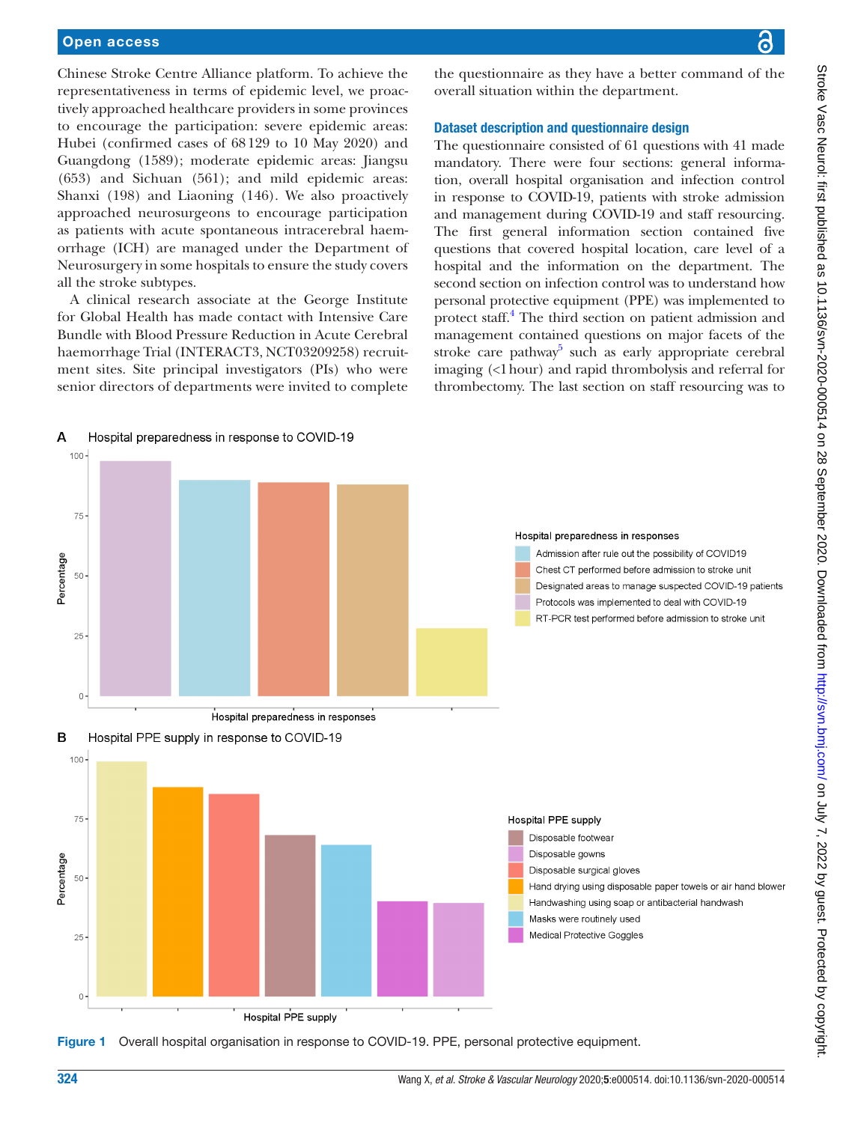#### Open access

 $\overline{A}$ 

Chinese Stroke Centre Alliance platform. To achieve the representativeness in terms of epidemic level, we proactively approached healthcare providers in some provinces to encourage the participation: severe epidemic areas: Hubei (confirmed cases of 68129 to 10 May 2020) and Guangdong (1589); moderate epidemic areas: Jiangsu (653) and Sichuan (561); and mild epidemic areas: Shanxi (198) and Liaoning (146). We also proactively approached neurosurgeons to encourage participation as patients with acute spontaneous intracerebral haemorrhage (ICH) are managed under the Department of Neurosurgery in some hospitals to ensure the study covers all the stroke subtypes.

A clinical research associate at the George Institute for Global Health has made contact with Intensive Care Bundle with Blood Pressure Reduction in Acute Cerebral haemorrhage Trial (INTERACT3, NCT03209258) recruitment sites. Site principal investigators (PIs) who were senior directors of departments were invited to complete

Hospital preparedness in response to COVID-19

the questionnaire as they have a better command of the overall situation within the department.

### Dataset description and questionnaire design

The questionnaire consisted of 61 questions with 41 made mandatory. There were four sections: general information, overall hospital organisation and infection control in response to COVID-19, patients with stroke admission and management during COVID-19 and staff resourcing. The first general information section contained five questions that covered hospital location, care level of a hospital and the information on the department. The second section on infection control was to understand how personal protective equipment (PPE) was implemented to protect staff.<sup>4</sup> The third section on patient admission and management contained questions on major facets of the stroke care pathway<sup>5</sup> such as early appropriate cerebral imaging (<1hour) and rapid thrombolysis and referral for thrombectomy. The last section on staff resourcing was to



<span id="page-1-0"></span>Figure 1 Overall hospital organisation in response to COVID-19. PPE, personal protective equipment.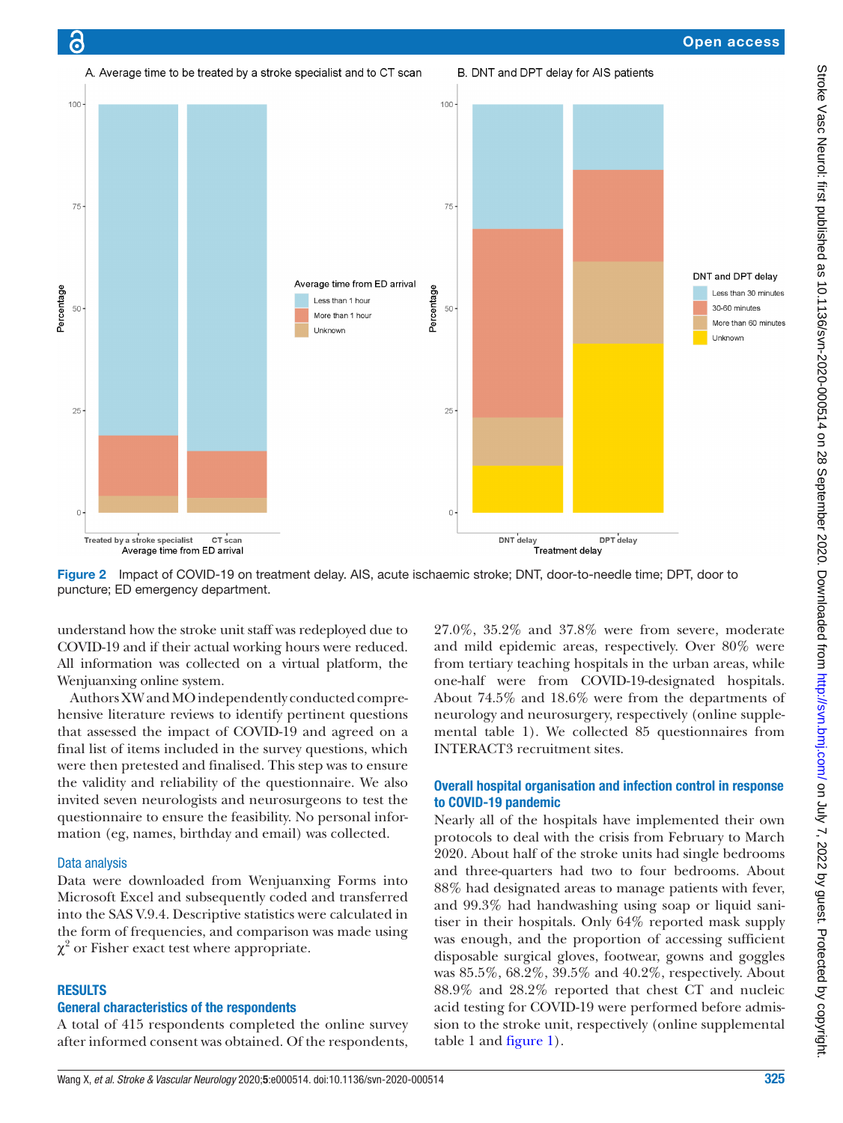



<span id="page-2-0"></span>Figure 2 Impact of COVID-19 on treatment delay. AIS, acute ischaemic stroke; DNT, door-to-needle time; DPT, door to puncture; ED emergency department.

understand how the stroke unit staff was redeployed due to COVID-19 and if their actual working hours were reduced. All information was collected on a virtual platform, the Wenjuanxing online system.

Authors XW and MO independently conducted comprehensive literature reviews to identify pertinent questions that assessed the impact of COVID-19 and agreed on a final list of items included in the survey questions, which were then pretested and finalised. This step was to ensure the validity and reliability of the questionnaire. We also invited seven neurologists and neurosurgeons to test the questionnaire to ensure the feasibility. No personal information (eg, names, birthday and email) was collected.

#### Data analysis

ခြ

Data were downloaded from Wenjuanxing Forms into Microsoft Excel and subsequently coded and transferred into the SAS V.9.4. Descriptive statistics were calculated in the form of frequencies, and comparison was made using  $\chi^2$  or Fisher exact test where appropriate.

#### **RESULTS**

# General characteristics of the respondents

A total of 415 respondents completed the online survey after informed consent was obtained. Of the respondents,

27.0%, 35.2% and 37.8% were from severe, moderate and mild epidemic areas, respectively. Over 80% were from tertiary teaching hospitals in the urban areas, while one-half were from COVID-19-designated hospitals. About 74.5% and 18.6% were from the departments of neurology and neurosurgery, respectively ([online supple](https://dx.doi.org/10.1136/svn-2020-000514)[mental table 1](https://dx.doi.org/10.1136/svn-2020-000514)). We collected 85 questionnaires from INTERACT3 recruitment sites.

## Overall hospital organisation and infection control in response to COVID-19 pandemic

Nearly all of the hospitals have implemented their own protocols to deal with the crisis from February to March 2020. About half of the stroke units had single bedrooms and three-quarters had two to four bedrooms. About 88% had designated areas to manage patients with fever, and 99.3% had handwashing using soap or liquid sanitiser in their hospitals. Only 64% reported mask supply was enough, and the proportion of accessing sufficient disposable surgical gloves, footwear, gowns and goggles was 85.5%, 68.2%, 39.5% and 40.2%, respectively. About 88.9% and 28.2% reported that chest CT and nucleic acid testing for COVID-19 were performed before admission to the stroke unit, respectively ([online supplemental](https://dx.doi.org/10.1136/svn-2020-000514)  [table 1](https://dx.doi.org/10.1136/svn-2020-000514) and [figure](#page-1-0) 1).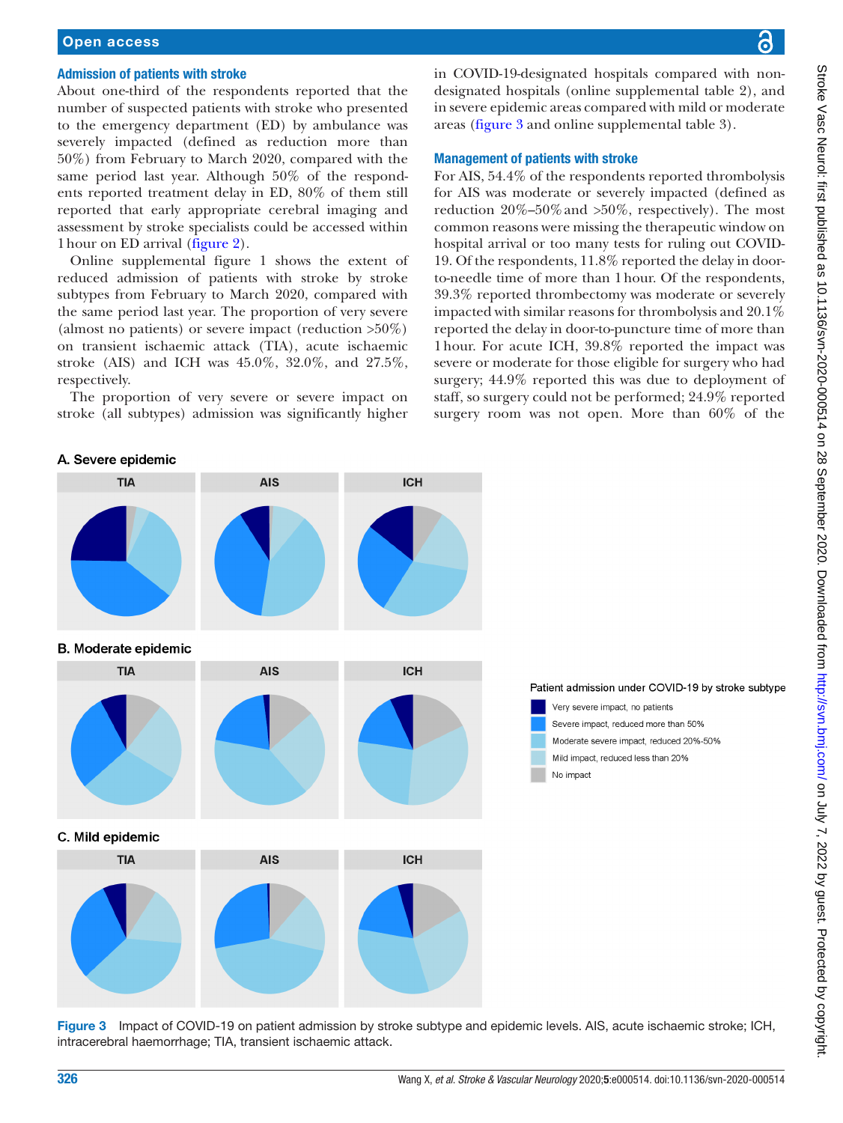# Open access

#### Admission of patients with stroke

About one-third of the respondents reported that the number of suspected patients with stroke who presented to the emergency department (ED) by ambulance was severely impacted (defined as reduction more than 50%) from February to March 2020, compared with the same period last year. Although 50% of the respondents reported treatment delay in ED, 80% of them still reported that early appropriate cerebral imaging and assessment by stroke specialists could be accessed within 1hour on ED arrival ([figure](#page-2-0) 2).

[Online supplemental figure 1](https://dx.doi.org/10.1136/svn-2020-000514) shows the extent of reduced admission of patients with stroke by stroke subtypes from February to March 2020, compared with the same period last year. The proportion of very severe (almost no patients) or severe impact (reduction  $>50\%$ ) on transient ischaemic attack (TIA), acute ischaemic stroke (AIS) and ICH was 45.0%, 32.0%, and 27.5%, respectively.

The proportion of very severe or severe impact on stroke (all subtypes) admission was significantly higher in COVID-19-designated hospitals compared with nondesignated hospitals ([online supplemental table 2\)](https://dx.doi.org/10.1136/svn-2020-000514), and in severe epidemic areas compared with mild or moderate areas [\(figure](#page-3-0) 3 and [online supplemental table 3](https://dx.doi.org/10.1136/svn-2020-000514)).

### Management of patients with stroke

For AIS, 54.4% of the respondents reported thrombolysis for AIS was moderate or severely impacted (defined as reduction  $20\% - 50\%$  and  $>50\%$ , respectively). The most common reasons were missing the therapeutic window on hospital arrival or too many tests for ruling out COVID-19. Of the respondents, 11.8% reported the delay in doorto-needle time of more than 1hour. Of the respondents, 39.3% reported thrombectomy was moderate or severely impacted with similar reasons for thrombolysis and 20.1% reported the delay in door-to-puncture time of more than 1hour. For acute ICH, 39.8% reported the impact was severe or moderate for those eligible for surgery who had surgery; 44.9% reported this was due to deployment of staff, so surgery could not be performed; 24.9% reported surgery room was not open. More than 60% of the





<span id="page-3-0"></span>Figure 3 Impact of COVID-19 on patient admission by stroke subtype and epidemic levels. AIS, acute ischaemic stroke; ICH, intracerebral haemorrhage; TIA, transient ischaemic attack.

ဥ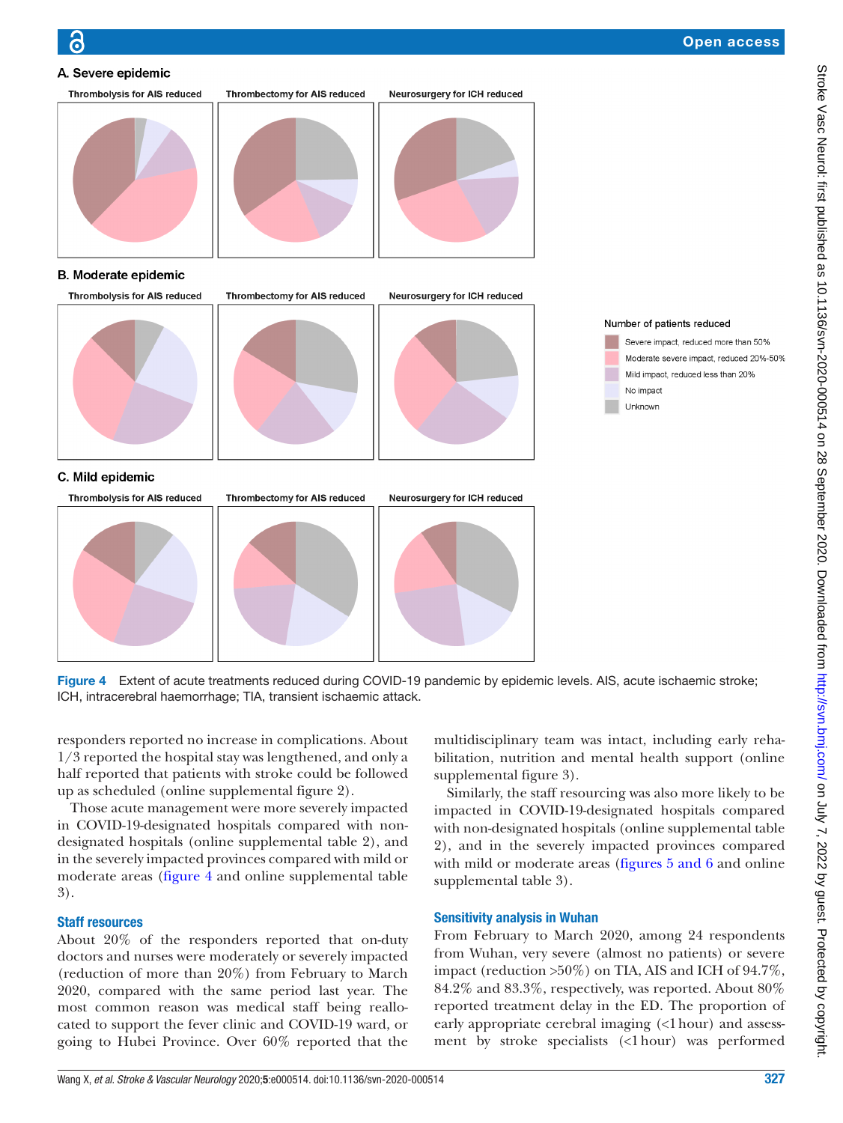



## **B. Moderate epidemic**



<span id="page-4-0"></span>Figure 4 Extent of acute treatments reduced during COVID-19 pandemic by epidemic levels. AIS, acute ischaemic stroke; ICH, intracerebral haemorrhage; TIA, transient ischaemic attack.

responders reported no increase in complications. About 1/3 reported the hospital stay was lengthened, and only a half reported that patients with stroke could be followed up as scheduled [\(online supplemental figure 2](https://dx.doi.org/10.1136/svn-2020-000514)).

Those acute management were more severely impacted in COVID-19-designated hospitals compared with nondesignated hospitals [\(online supplemental table 2](https://dx.doi.org/10.1136/svn-2020-000514)), and in the severely impacted provinces compared with mild or moderate areas ([figure](#page-4-0) 4 and [online supplemental table](https://dx.doi.org/10.1136/svn-2020-000514) [3\)](https://dx.doi.org/10.1136/svn-2020-000514).

# Staff resources

About 20% of the responders reported that on-duty doctors and nurses were moderately or severely impacted (reduction of more than 20%) from February to March 2020, compared with the same period last year. The most common reason was medical staff being reallocated to support the fever clinic and COVID-19 ward, or going to Hubei Province. Over 60% reported that the

multidisciplinary team was intact, including early rehabilitation, nutrition and mental health support ([online](https://dx.doi.org/10.1136/svn-2020-000514)  [supplemental figure 3](https://dx.doi.org/10.1136/svn-2020-000514)).

Similarly, the staff resourcing was also more likely to be impacted in COVID-19-designated hospitals compared with non-designated hospitals ([online supplemental table](https://dx.doi.org/10.1136/svn-2020-000514)  [2](https://dx.doi.org/10.1136/svn-2020-000514)), and in the severely impacted provinces compared with mild or moderate areas (figures [5 and 6](#page-5-0) and online [supplemental table 3\)](https://dx.doi.org/10.1136/svn-2020-000514).

# Sensitivity analysis in Wuhan

From February to March 2020, among 24 respondents from Wuhan, very severe (almost no patients) or severe impact (reduction >50%) on TIA, AIS and ICH of 94.7%, 84.2% and 83.3%, respectively, was reported. About 80% reported treatment delay in the ED. The proportion of early appropriate cerebral imaging (<1 hour) and assessment by stroke specialists (<1hour) was performed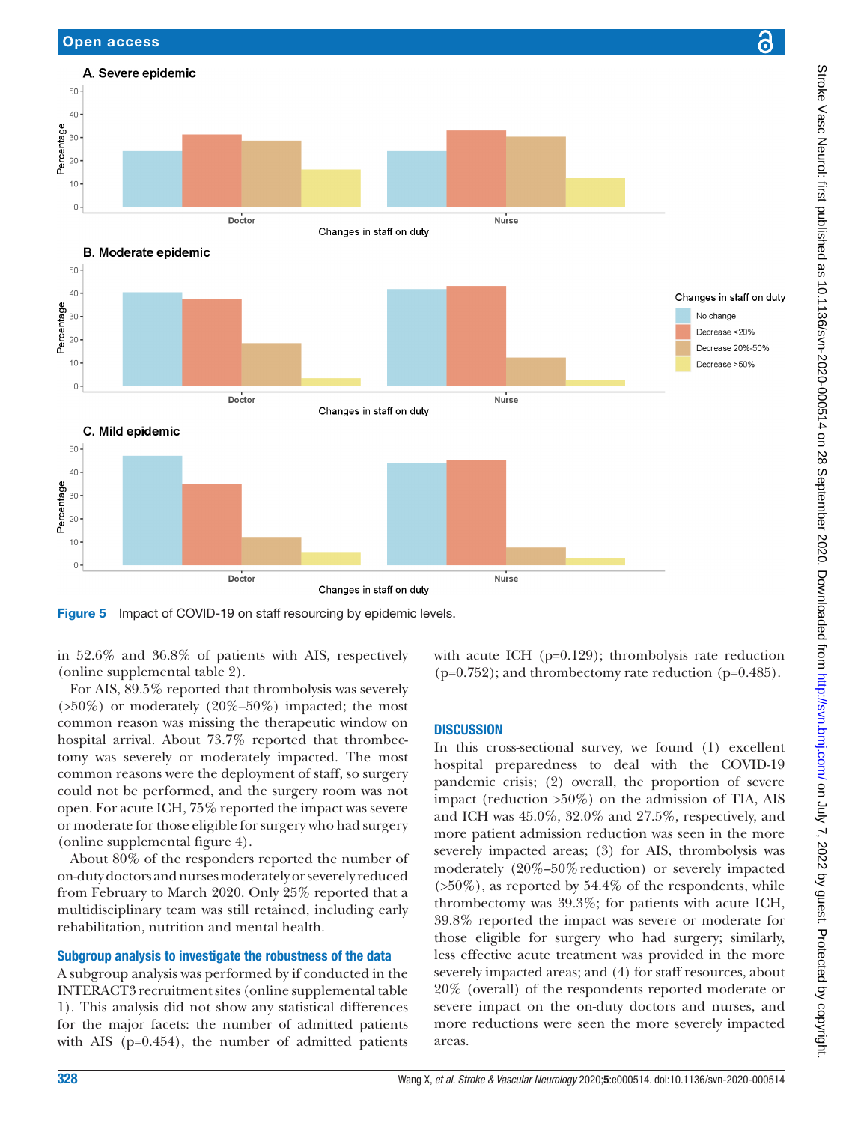

<span id="page-5-0"></span>Figure 5 Impact of COVID-19 on staff resourcing by epidemic levels.

in 52.6% and 36.8% of patients with AIS, respectively ([online supplemental table 2\)](https://dx.doi.org/10.1136/svn-2020-000514).

Open access

For AIS, 89.5% reported that thrombolysis was severely  $(50\%)$  or moderately  $(20\%-50\%)$  impacted; the most common reason was missing the therapeutic window on hospital arrival. About 73.7% reported that thrombectomy was severely or moderately impacted. The most common reasons were the deployment of staff, so surgery could not be performed, and the surgery room was not open. For acute ICH, 75% reported the impact was severe or moderate for those eligible for surgery who had surgery ([online supplemental figure 4](https://dx.doi.org/10.1136/svn-2020-000514)).

About 80% of the responders reported the number of on-duty doctors and nurses moderately or severely reduced from February to March 2020. Only 25% reported that a multidisciplinary team was still retained, including early rehabilitation, nutrition and mental health.

# Subgroup analysis to investigate the robustness of the data

A subgroup analysis was performed by if conducted in the INTERACT3 recruitment sites [\(online supplemental table](https://dx.doi.org/10.1136/svn-2020-000514) [1\)](https://dx.doi.org/10.1136/svn-2020-000514). This analysis did not show any statistical differences for the major facets: the number of admitted patients with AIS (p=0.454), the number of admitted patients

with acute ICH (p=0.129); thrombolysis rate reduction (p=0.752); and thrombectomy rate reduction (p=0.485).

# **DISCUSSION**

In this cross-sectional survey, we found (1) excellent hospital preparedness to deal with the COVID-19 pandemic crisis; (2) overall, the proportion of severe impact (reduction >50%) on the admission of TIA, AIS and ICH was 45.0%, 32.0% and 27.5%, respectively, and more patient admission reduction was seen in the more severely impacted areas; (3) for AIS, thrombolysis was moderately (20%–50% reduction) or severely impacted  $(50\%)$ , as reported by 54.4% of the respondents, while thrombectomy was 39.3%; for patients with acute ICH, 39.8% reported the impact was severe or moderate for those eligible for surgery who had surgery; similarly, less effective acute treatment was provided in the more severely impacted areas; and (4) for staff resources, about 20% (overall) of the respondents reported moderate or severe impact on the on-duty doctors and nurses, and more reductions were seen the more severely impacted areas.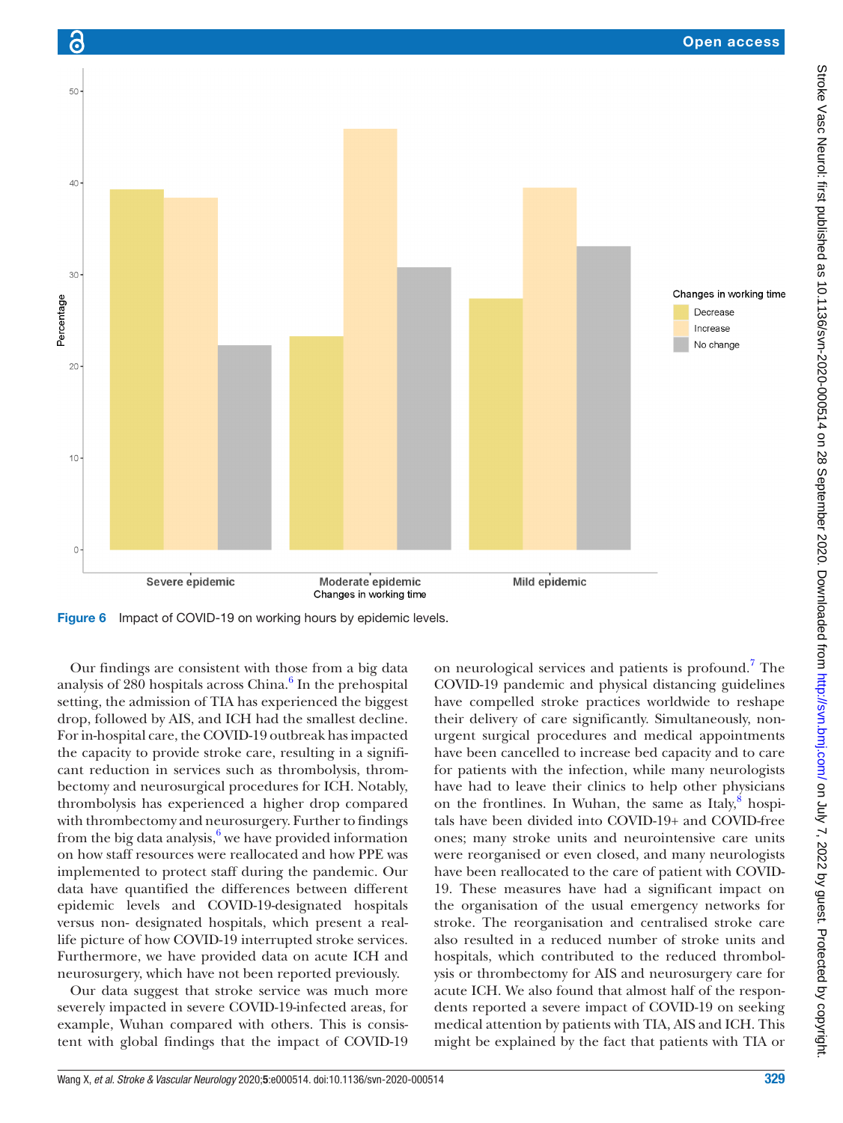

Figure 6 Impact of COVID-19 on working hours by epidemic levels.

Our findings are consistent with those from a big data analysis of  $280$  hospitals across China. $^6$  $^6$  In the prehospital setting, the admission of TIA has experienced the biggest drop, followed by AIS, and ICH had the smallest decline. For in-hospital care, the COVID-19 outbreak has impacted the capacity to provide stroke care, resulting in a significant reduction in services such as thrombolysis, thrombectomy and neurosurgical procedures for ICH. Notably, thrombolysis has experienced a higher drop compared with thrombectomy and neurosurgery. Further to findings from the big data analysis, $6$  we have provided information on how staff resources were reallocated and how PPE was implemented to protect staff during the pandemic. Our data have quantified the differences between different epidemic levels and COVID-19-designated hospitals versus non- designated hospitals, which present a reallife picture of how COVID-19 interrupted stroke services. Furthermore, we have provided data on acute ICH and neurosurgery, which have not been reported previously.

Our data suggest that stroke service was much more severely impacted in severe COVID-19-infected areas, for example, Wuhan compared with others. This is consistent with global findings that the impact of COVID-19

on neurological services and patients is profound.<sup>7</sup> The COVID-19 pandemic and physical distancing guidelines have compelled stroke practices worldwide to reshape their delivery of care significantly. Simultaneously, nonurgent surgical procedures and medical appointments have been cancelled to increase bed capacity and to care for patients with the infection, while many neurologists have had to leave their clinics to help other physicians on the frontlines. In Wuhan, the same as Italy, $\frac{8}{3}$  $\frac{8}{3}$  $\frac{8}{3}$  hospitals have been divided into COVID-19+ and COVID-free ones; many stroke units and neurointensive care units were reorganised or even closed, and many neurologists have been reallocated to the care of patient with COVID-19. These measures have had a significant impact on the organisation of the usual emergency networks for stroke. The reorganisation and centralised stroke care also resulted in a reduced number of stroke units and hospitals, which contributed to the reduced thrombolysis or thrombectomy for AIS and neurosurgery care for acute ICH. We also found that almost half of the respondents reported a severe impact of COVID-19 on seeking medical attention by patients with TIA, AIS and ICH. This might be explained by the fact that patients with TIA or